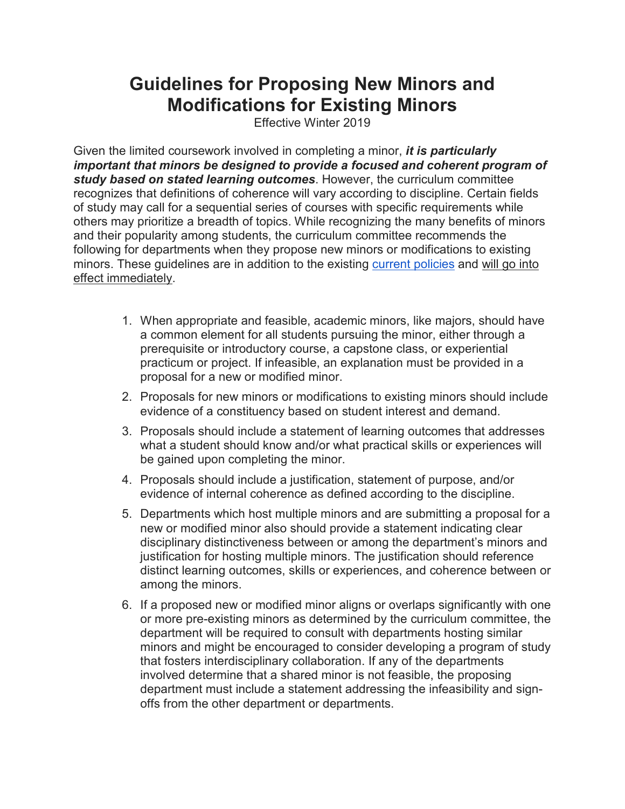## **Guidelines for Proposing New Minors and Modifications for Existing Minors**

Effective Winter 2019

Given the limited coursework involved in completing a minor, *it is particularly important that minors be designed to provide a focused and coherent program of study based on stated learning outcomes*. However, the curriculum committee recognizes that definitions of coherence will vary according to discipline. Certain fields of study may call for a sequential series of courses with specific requirements while others may prioritize a breadth of topics. While recognizing the many benefits of minors and their popularity among students, the curriculum committee recommends the following for departments when they propose new minors or modifications to existing minors. These guidelines are in addition to the existing [current policies](https://lsa.umich.edu/lsa/academics/lsa-requirements/minors.html) and will go into effect immediately.

- 1. When appropriate and feasible, academic minors, like majors, should have a common element for all students pursuing the minor, either through a prerequisite or introductory course, a capstone class, or experiential practicum or project. If infeasible, an explanation must be provided in a proposal for a new or modified minor.
- 2. Proposals for new minors or modifications to existing minors should include evidence of a constituency based on student interest and demand.
- 3. Proposals should include a statement of learning outcomes that addresses what a student should know and/or what practical skills or experiences will be gained upon completing the minor.
- 4. Proposals should include a justification, statement of purpose, and/or evidence of internal coherence as defined according to the discipline.
- 5. Departments which host multiple minors and are submitting a proposal for a new or modified minor also should provide a statement indicating clear disciplinary distinctiveness between or among the department's minors and justification for hosting multiple minors. The justification should reference distinct learning outcomes, skills or experiences, and coherence between or among the minors.
- 6. If a proposed new or modified minor aligns or overlaps significantly with one or more pre-existing minors as determined by the curriculum committee, the department will be required to consult with departments hosting similar minors and might be encouraged to consider developing a program of study that fosters interdisciplinary collaboration. If any of the departments involved determine that a shared minor is not feasible, the proposing department must include a statement addressing the infeasibility and signoffs from the other department or departments.